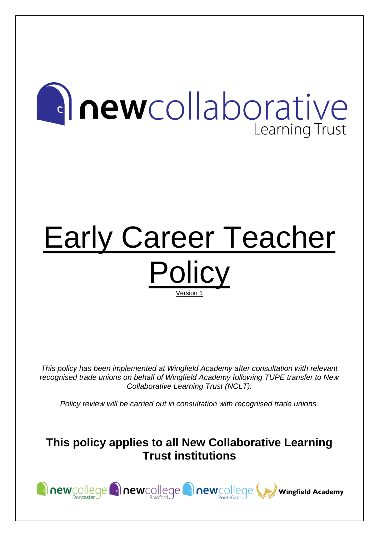# **anewcollaborative** Learning Trust

## Early Career Teacher **Policy** Version 1

*This policy has been implemented at Wingfield Academy after consultation with relevant recognised trade unions on behalf of Wingfield Academy following TUPE transfer to New Collaborative Learning Trust (NCLT).*

*Policy review will be carried out in consultation with recognised trade unions.*

### **This policy applies to all New Collaborative Learning Trust institutions**

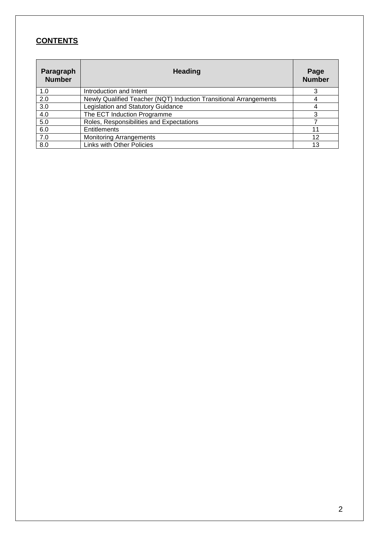#### **CONTENTS**

| Paragraph<br><b>Number</b> | <b>Heading</b>                                                    | Page<br><b>Number</b> |
|----------------------------|-------------------------------------------------------------------|-----------------------|
| 1.0                        | Introduction and Intent                                           |                       |
| 2.0                        | Newly Qualified Teacher (NQT) Induction Transitional Arrangements |                       |
| 3.0                        | Legislation and Statutory Guidance                                |                       |
| 4.0                        | The ECT Induction Programme                                       | 3                     |
| 5.0                        | Roles, Responsibilities and Expectations                          |                       |
| 6.0                        | Entitlements                                                      | 11                    |
| 7.0                        | <b>Monitoring Arrangements</b>                                    | 12                    |
| 8.0                        | <b>Links with Other Policies</b>                                  | 13                    |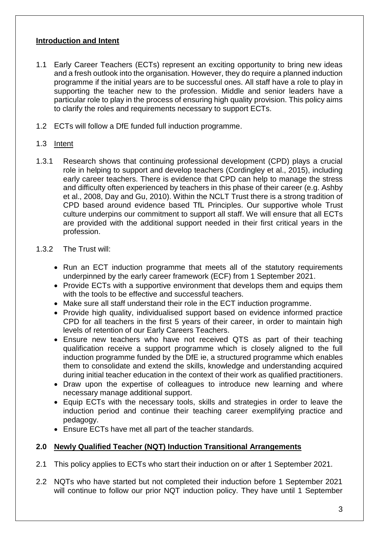#### **Introduction and Intent**

- 1.1 Early Career Teachers (ECTs) represent an exciting opportunity to bring new ideas and a fresh outlook into the organisation. However, they do require a planned induction programme if the initial years are to be successful ones. All staff have a role to play in supporting the teacher new to the profession. Middle and senior leaders have a particular role to play in the process of ensuring high quality provision. This policy aims to clarify the roles and requirements necessary to support ECTs.
- 1.2 ECTs will follow a DfE funded full induction programme.

#### 1.3 Intent

1.3.1 Research shows that continuing professional development (CPD) plays a crucial role in helping to support and develop teachers (Cordingley et al., 2015), including early career teachers. There is evidence that CPD can help to manage the stress and difficulty often experienced by teachers in this phase of their career (e.g. Ashby et al., 2008, Day and Gu, 2010). Within the NCLT Trust there is a strong tradition of CPD based around evidence based TfL Principles. Our supportive whole Trust culture underpins our commitment to support all staff. We will ensure that all ECTs are provided with the additional support needed in their first critical years in the profession.

#### 1.3.2 The Trust will:

- Run an ECT induction programme that meets all of the statutory requirements underpinned by the early career framework (ECF) from 1 September 2021.
- Provide ECTs with a supportive environment that develops them and equips them with the tools to be effective and successful teachers.
- Make sure all staff understand their role in the ECT induction programme.
- Provide high quality, individualised support based on evidence informed practice CPD for all teachers in the first 5 years of their career, in order to maintain high levels of retention of our Early Careers Teachers.
- Ensure new teachers who have not received QTS as part of their teaching qualification receive a support programme which is closely aligned to the full induction programme funded by the DfE ie, a structured programme which enables them to consolidate and extend the skills, knowledge and understanding acquired during initial teacher education in the context of their work as qualified practitioners.
- Draw upon the expertise of colleagues to introduce new learning and where necessary manage additional support.
- Equip ECTs with the necessary tools, skills and strategies in order to leave the induction period and continue their teaching career exemplifying practice and pedagogy.
- Ensure ECTs have met all part of the teacher standards.

#### **2.0 Newly Qualified Teacher (NQT) Induction Transitional Arrangements**

- 2.1 This policy applies to ECTs who start their induction on or after 1 September 2021.
- 2.2 NQTs who have started but not completed their induction before 1 September 2021 will continue to follow our prior NQT induction policy. They have until 1 September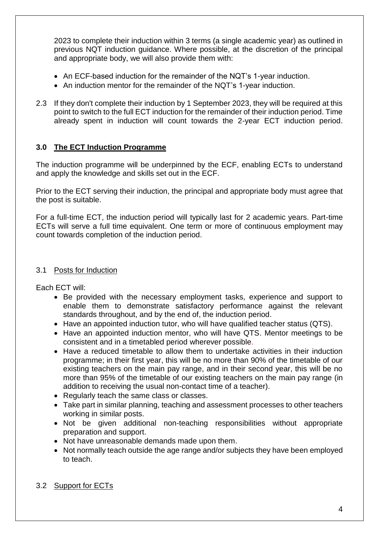2023 to complete their induction within 3 terms (a single academic year) as outlined in previous NQT induction guidance. Where possible, at the discretion of the principal and appropriate body, we will also provide them with:

- An ECF-based induction for the remainder of the NQT's 1-year induction.
- An induction mentor for the remainder of the NQT's 1-year induction.
- 2.3 If they don't complete their induction by 1 September 2023, they will be required at this point to switch to the full ECT induction for the remainder of their induction period. Time already spent in induction will count towards the 2-year ECT induction period.

#### **3.0 The ECT Induction Programme**

The induction programme will be underpinned by the ECF, enabling ECTs to understand and apply the knowledge and skills set out in the ECF.

Prior to the ECT serving their induction, the principal and appropriate body must agree that the post is suitable.

For a full-time ECT, the induction period will typically last for 2 academic years. Part-time ECTs will serve a full time equivalent. One term or more of continuous employment may count towards completion of the induction period.

#### 3.1 Posts for Induction

Each ECT will:

- Be provided with the necessary employment tasks, experience and support to enable them to demonstrate satisfactory performance against the relevant standards throughout, and by the end of, the induction period.
- Have an appointed induction tutor, who will have qualified teacher status (QTS).
- Have an appointed induction mentor, who will have QTS. Mentor meetings to be consistent and in a timetabled period wherever possible.
- Have a reduced timetable to allow them to undertake activities in their induction programme; in their first year, this will be no more than 90% of the timetable of our existing teachers on the main pay range, and in their second year, this will be no more than 95% of the timetable of our existing teachers on the main pay range (in addition to receiving the usual non-contact time of a teacher).
- Regularly teach the same class or classes.
- Take part in similar planning, teaching and assessment processes to other teachers working in similar posts.
- Not be given additional non-teaching responsibilities without appropriate preparation and support.
- Not have unreasonable demands made upon them.
- Not normally teach outside the age range and/or subjects they have been employed to teach.

#### 3.2 Support for ECTs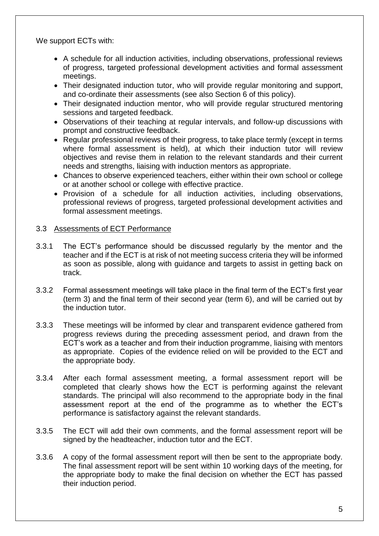We support ECTs with:

- A schedule for all induction activities, including observations, professional reviews of progress, targeted professional development activities and formal assessment meetings.
- Their designated induction tutor, who will provide regular monitoring and support, and co-ordinate their assessments (see also Section 6 of this policy).
- Their designated induction mentor, who will provide regular structured mentoring sessions and targeted feedback.
- Observations of their teaching at regular intervals, and follow-up discussions with prompt and constructive feedback.
- Regular professional reviews of their progress, to take place termly (except in terms where formal assessment is held), at which their induction tutor will review objectives and revise them in relation to the relevant standards and their current needs and strengths, liaising with induction mentors as appropriate.
- Chances to observe experienced teachers, either within their own school or college or at another school or college with effective practice.
- Provision of a schedule for all induction activities, including observations, professional reviews of progress, targeted professional development activities and formal assessment meetings.

#### 3.3 Assessments of ECT Performance

- 3.3.1 The ECT's performance should be discussed regularly by the mentor and the teacher and if the ECT is at risk of not meeting success criteria they will be informed as soon as possible, along with guidance and targets to assist in getting back on track.
- 3.3.2 Formal assessment meetings will take place in the final term of the ECT's first year (term 3) and the final term of their second year (term 6), and will be carried out by the induction tutor.
- 3.3.3 These meetings will be informed by clear and transparent evidence gathered from progress reviews during the preceding assessment period, and drawn from the ECT's work as a teacher and from their induction programme, liaising with mentors as appropriate. Copies of the evidence relied on will be provided to the ECT and the appropriate body.
- 3.3.4 After each formal assessment meeting, a formal assessment report will be completed that clearly shows how the ECT is performing against the relevant standards. The principal will also recommend to the appropriate body in the final assessment report at the end of the programme as to whether the ECT's performance is satisfactory against the relevant standards.
- 3.3.5 The ECT will add their own comments, and the formal assessment report will be signed by the headteacher, induction tutor and the ECT.
- 3.3.6 A copy of the formal assessment report will then be sent to the appropriate body. The final assessment report will be sent within 10 working days of the meeting, for the appropriate body to make the final decision on whether the ECT has passed their induction period.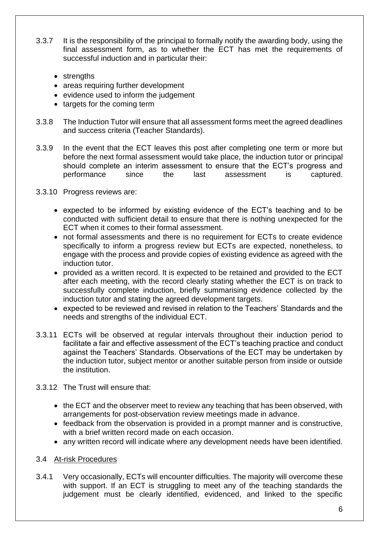- 3.3.7 It is the responsibility of the principal to formally notify the awarding body, using the final assessment form, as to whether the ECT has met the requirements of successful induction and in particular their:
	- strengths
	- areas requiring further development
	- evidence used to inform the judgement
	- targets for the coming term
- 3.3.8 The Induction Tutor will ensure that all assessment forms meet the agreed deadlines and success criteria (Teacher Standards).
- 3.3.9 In the event that the ECT leaves this post after completing one term or more but before the next formal assessment would take place, the induction tutor or principal should complete an interim assessment to ensure that the ECT's progress and performance since the last assessment is captured.
- 3.3.10 Progress reviews are:
	- expected to be informed by existing evidence of the ECT's teaching and to be conducted with sufficient detail to ensure that there is nothing unexpected for the ECT when it comes to their formal assessment.
	- not formal assessments and there is no requirement for ECTs to create evidence specifically to inform a progress review but ECTs are expected, nonetheless, to engage with the process and provide copies of existing evidence as agreed with the induction tutor.
	- provided as a written record. It is expected to be retained and provided to the ECT after each meeting, with the record clearly stating whether the ECT is on track to successfully complete induction, briefly summarising evidence collected by the induction tutor and stating the agreed development targets.
	- expected to be reviewed and revised in relation to the Teachers' Standards and the needs and strengths of the individual ECT.
- 3.3.11 ECTs will be observed at regular intervals throughout their induction period to facilitate a fair and effective assessment of the ECT's teaching practice and conduct against the Teachers' Standards. Observations of the ECT may be undertaken by the induction tutor, subject mentor or another suitable person from inside or outside the institution.
- 3.3.12 The Trust will ensure that:
	- the ECT and the observer meet to review any teaching that has been observed, with arrangements for post-observation review meetings made in advance.
	- feedback from the observation is provided in a prompt manner and is constructive, with a brief written record made on each occasion.
	- any written record will indicate where any development needs have been identified.

#### 3.4 At-risk Procedures

3.4.1 Very occasionally, ECTs will encounter difficulties. The majority will overcome these with support. If an ECT is struggling to meet any of the teaching standards the judgement must be clearly identified, evidenced, and linked to the specific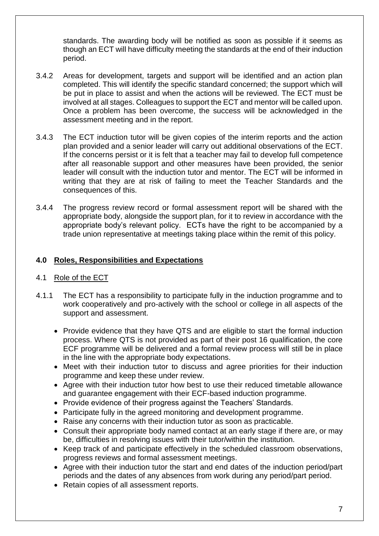standards. The awarding body will be notified as soon as possible if it seems as though an ECT will have difficulty meeting the standards at the end of their induction period.

- 3.4.2 Areas for development, targets and support will be identified and an action plan completed. This will identify the specific standard concerned; the support which will be put in place to assist and when the actions will be reviewed. The ECT must be involved at all stages. Colleagues to support the ECT and mentor will be called upon. Once a problem has been overcome, the success will be acknowledged in the assessment meeting and in the report.
- 3.4.3 The ECT induction tutor will be given copies of the interim reports and the action plan provided and a senior leader will carry out additional observations of the ECT. If the concerns persist or it is felt that a teacher may fail to develop full competence after all reasonable support and other measures have been provided, the senior leader will consult with the induction tutor and mentor. The ECT will be informed in writing that they are at risk of failing to meet the Teacher Standards and the consequences of this.
- 3.4.4 The progress review record or formal assessment report will be shared with the appropriate body, alongside the support plan, for it to review in accordance with the appropriate body's relevant policy. ECTs have the right to be accompanied by a trade union representative at meetings taking place within the remit of this policy.

#### **4.0 Roles, Responsibilities and Expectations**

#### 4.1 Role of the ECT

- 4.1.1 The ECT has a responsibility to participate fully in the induction programme and to work cooperatively and pro-actively with the school or college in all aspects of the support and assessment.
	- Provide evidence that they have QTS and are eligible to start the formal induction process. Where QTS is not provided as part of their post 16 qualification, the core ECF programme will be delivered and a formal review process will still be in place in the line with the appropriate body expectations.
	- Meet with their induction tutor to discuss and agree priorities for their induction programme and keep these under review.
	- Agree with their induction tutor how best to use their reduced timetable allowance and guarantee engagement with their ECF-based induction programme.
	- Provide evidence of their progress against the Teachers' Standards.
	- Participate fully in the agreed monitoring and development programme.
	- Raise any concerns with their induction tutor as soon as practicable.
	- Consult their appropriate body named contact at an early stage if there are, or may be, difficulties in resolving issues with their tutor/within the institution.
	- Keep track of and participate effectively in the scheduled classroom observations, progress reviews and formal assessment meetings.
	- Agree with their induction tutor the start and end dates of the induction period/part periods and the dates of any absences from work during any period/part period.
	- Retain copies of all assessment reports.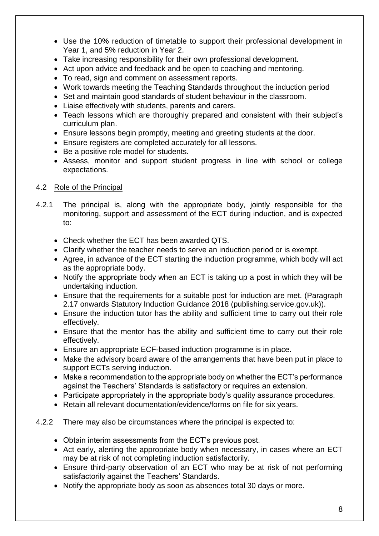- Use the 10% reduction of timetable to support their professional development in Year 1, and 5% reduction in Year 2.
- Take increasing responsibility for their own professional development.
- Act upon advice and feedback and be open to coaching and mentoring.
- To read, sign and comment on assessment reports.
- Work towards meeting the Teaching Standards throughout the induction period
- Set and maintain good standards of student behaviour in the classroom.
- Liaise effectively with students, parents and carers.
- Teach lessons which are thoroughly prepared and consistent with their subject's curriculum plan.
- Ensure lessons begin promptly, meeting and greeting students at the door.
- Ensure registers are completed accurately for all lessons.
- Be a positive role model for students.
- Assess, monitor and support student progress in line with school or college expectations.

#### 4.2 Role of the Principal

- 4.2.1 The principal is, along with the appropriate body, jointly responsible for the monitoring, support and assessment of the ECT during induction, and is expected to:
	- Check whether the ECT has been awarded QTS.
	- Clarify whether the teacher needs to serve an induction period or is exempt.
	- Agree, in advance of the ECT starting the induction programme, which body will act as the appropriate body.
	- Notify the appropriate body when an ECT is taking up a post in which they will be undertaking induction.
	- Ensure that the requirements for a suitable post for induction are met. (Paragraph 2.17 onwards Statutory Induction Guidance 2018 (publishing.service.gov.uk)).
	- Ensure the induction tutor has the ability and sufficient time to carry out their role effectively.
	- Ensure that the mentor has the ability and sufficient time to carry out their role effectively.
	- Ensure an appropriate ECF-based induction programme is in place.
	- Make the advisory board aware of the arrangements that have been put in place to support ECTs serving induction.
	- Make a recommendation to the appropriate body on whether the ECT's performance against the Teachers' Standards is satisfactory or requires an extension.
	- Participate appropriately in the appropriate body's quality assurance procedures.
	- Retain all relevant documentation/evidence/forms on file for six years.

#### 4.2.2 There may also be circumstances where the principal is expected to:

- Obtain interim assessments from the ECT's previous post.
- Act early, alerting the appropriate body when necessary, in cases where an ECT may be at risk of not completing induction satisfactorily.
- Ensure third-party observation of an ECT who may be at risk of not performing satisfactorily against the Teachers' Standards.
- Notify the appropriate body as soon as absences total 30 days or more.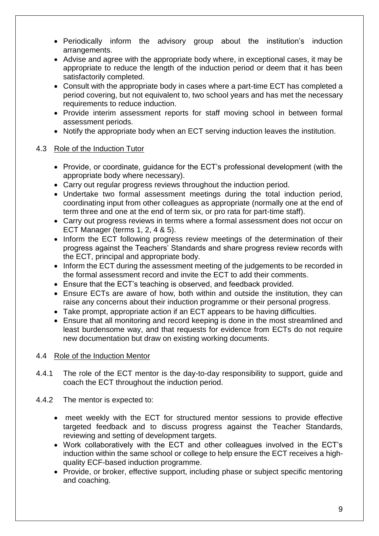- Periodically inform the advisory group about the institution's induction arrangements.
- Advise and agree with the appropriate body where, in exceptional cases, it may be appropriate to reduce the length of the induction period or deem that it has been satisfactorily completed.
- Consult with the appropriate body in cases where a part-time ECT has completed a period covering, but not equivalent to, two school years and has met the necessary requirements to reduce induction.
- Provide interim assessment reports for staff moving school in between formal assessment periods.
- Notify the appropriate body when an ECT serving induction leaves the institution.

#### 4.3 Role of the Induction Tutor

- Provide, or coordinate, guidance for the ECT's professional development (with the appropriate body where necessary).
- Carry out regular progress reviews throughout the induction period.
- Undertake two formal assessment meetings during the total induction period, coordinating input from other colleagues as appropriate (normally one at the end of term three and one at the end of term six, or pro rata for part-time staff).
- Carry out progress reviews in terms where a formal assessment does not occur on ECT Manager (terms 1, 2, 4 & 5).
- Inform the ECT following progress review meetings of the determination of their progress against the Teachers' Standards and share progress review records with the ECT, principal and appropriate body.
- Inform the ECT during the assessment meeting of the judgements to be recorded in the formal assessment record and invite the ECT to add their comments.
- Ensure that the ECT's teaching is observed, and feedback provided.
- Ensure ECTs are aware of how, both within and outside the institution, they can raise any concerns about their induction programme or their personal progress.
- Take prompt, appropriate action if an ECT appears to be having difficulties.
- Ensure that all monitoring and record keeping is done in the most streamlined and least burdensome way, and that requests for evidence from ECTs do not require new documentation but draw on existing working documents.

#### 4.4 Role of the Induction Mentor

- 4.4.1 The role of the ECT mentor is the day-to-day responsibility to support, guide and coach the ECT throughout the induction period.
- 4.4.2 The mentor is expected to:
	- meet weekly with the ECT for structured mentor sessions to provide effective targeted feedback and to discuss progress against the Teacher Standards, reviewing and setting of development targets.
	- Work collaboratively with the ECT and other colleagues involved in the ECT's induction within the same school or college to help ensure the ECT receives a highquality ECF-based induction programme.
	- Provide, or broker, effective support, including phase or subject specific mentoring and coaching.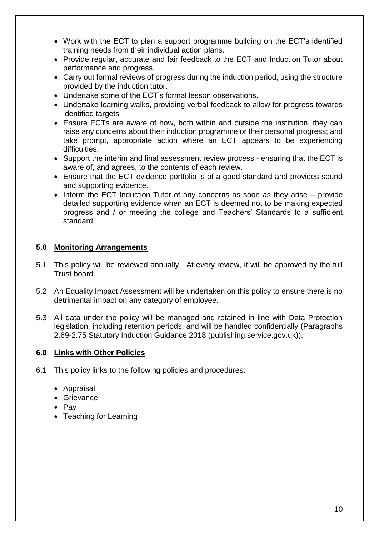- Work with the ECT to plan a support programme building on the ECT's identified training needs from their individual action plans.
- Provide regular, accurate and fair feedback to the ECT and Induction Tutor about performance and progress.
- Carry out formal reviews of progress during the induction period, using the structure provided by the induction tutor.
- Undertake some of the ECT's formal lesson observations.
- Undertake learning walks, providing verbal feedback to allow for progress towards identified targets
- Ensure ECTs are aware of how, both within and outside the institution, they can raise any concerns about their induction programme or their personal progress; and take prompt, appropriate action where an ECT appears to be experiencing difficulties.
- Support the interim and final assessment review process ensuring that the ECT is aware of, and agrees, to the contents of each review.
- Ensure that the ECT evidence portfolio is of a good standard and provides sound and supporting evidence.
- Inform the ECT Induction Tutor of any concerns as soon as they arise provide detailed supporting evidence when an ECT is deemed not to be making expected progress and / or meeting the college and Teachers' Standards to a sufficient standard.

#### **5.0 Monitoring Arrangements**

- 5.1 This policy will be reviewed annually. At every review, it will be approved by the full Trust board.
- 5.2 An Equality Impact Assessment will be undertaken on this policy to ensure there is no detrimental impact on any category of employee.
- 5.3 All data under the policy will be managed and retained in line with Data Protection legislation, including retention periods, and will be handled confidentially (Paragraphs 2.69-2.75 Statutory Induction Guidance 2018 (publishing.service.gov.uk)).

#### **6.0 Links with Other Policies**

- 6.1 This policy links to the following policies and procedures:
	- Appraisal
	- Grievance
	- Pay
	- Teaching for Learning